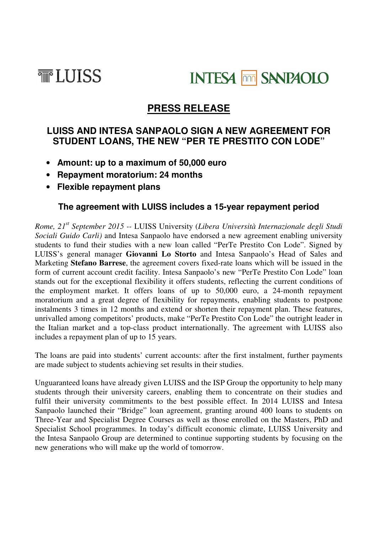



# **PRESS RELEASE**

## **LUISS AND INTESA SANPAOLO SIGN A NEW AGREEMENT FOR STUDENT LOANS, THE NEW "PER TE PRESTITO CON LODE"**

- **Amount: up to a maximum of 50,000 euro**
- **Repayment moratorium: 24 months**
- **Flexible repayment plans**

## **The agreement with LUISS includes a 15-year repayment period**

*Rome, 21st September 2015 --* LUISS University (*Libera Università Internazionale degli Studi Sociali Guido Carli)* and Intesa Sanpaolo have endorsed a new agreement enabling university students to fund their studies with a new loan called "PerTe Prestito Con Lode". Signed by LUISS's general manager **Giovanni Lo Storto** and Intesa Sanpaolo's Head of Sales and Marketing **Stefano Barrese**, the agreement covers fixed-rate loans which will be issued in the form of current account credit facility. Intesa Sanpaolo's new "PerTe Prestito Con Lode" loan stands out for the exceptional flexibility it offers students, reflecting the current conditions of the employment market. It offers loans of up to 50,000 euro, a 24-month repayment moratorium and a great degree of flexibility for repayments, enabling students to postpone instalments 3 times in 12 months and extend or shorten their repayment plan. These features, unrivalled among competitors' products, make "PerTe Prestito Con Lode" the outright leader in the Italian market and a top-class product internationally. The agreement with LUISS also includes a repayment plan of up to 15 years.

The loans are paid into students' current accounts: after the first instalment, further payments are made subject to students achieving set results in their studies.

Unguaranteed loans have already given LUISS and the ISP Group the opportunity to help many students through their university careers, enabling them to concentrate on their studies and fulfil their university commitments to the best possible effect. In 2014 LUISS and Intesa Sanpaolo launched their "Bridge" loan agreement, granting around 400 loans to students on Three-Year and Specialist Degree Courses as well as those enrolled on the Masters, PhD and Specialist School programmes. In today's difficult economic climate, LUISS University and the Intesa Sanpaolo Group are determined to continue supporting students by focusing on the new generations who will make up the world of tomorrow.